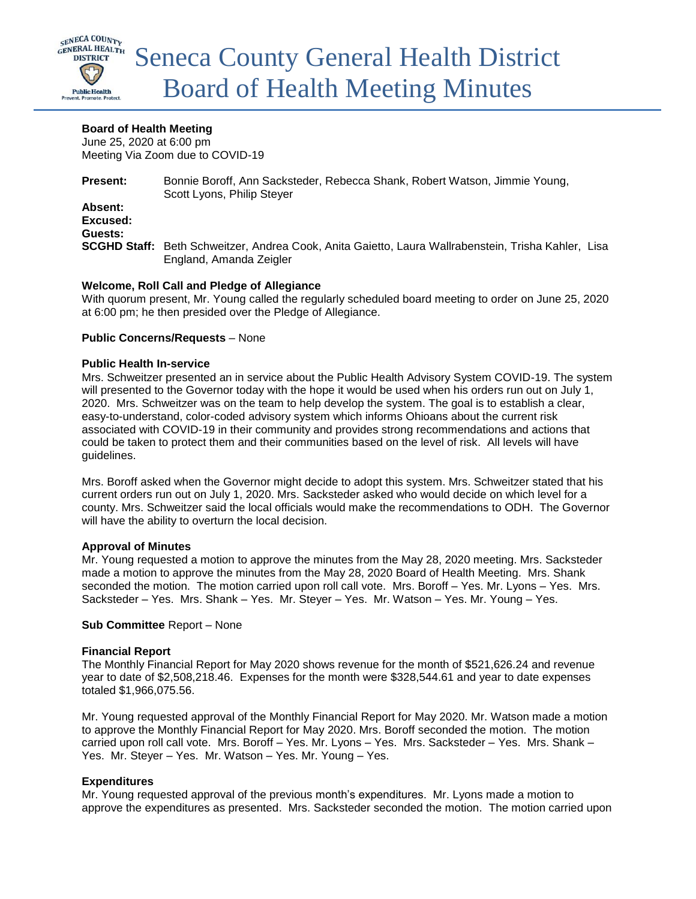

# **Board of Health Meeting**

June 25, 2020 at 6:00 pm Meeting Via Zoom due to COVID-19

**Present:** Bonnie Boroff, Ann Sacksteder, Rebecca Shank, Robert Watson, Jimmie Young, Scott Lyons, Philip Steyer **Absent: Excused: Guests: SCGHD Staff:** Beth Schweitzer, Andrea Cook, Anita Gaietto, Laura Wallrabenstein, Trisha Kahler, Lisa England, Amanda Zeigler

# **Welcome, Roll Call and Pledge of Allegiance**

With quorum present, Mr. Young called the regularly scheduled board meeting to order on June 25, 2020 at 6:00 pm; he then presided over the Pledge of Allegiance.

## **Public Concerns/Requests** – None

#### **Public Health In-service**

Mrs. Schweitzer presented an in service about the Public Health Advisory System COVID-19. The system will presented to the Governor today with the hope it would be used when his orders run out on July 1, 2020. Mrs. Schweitzer was on the team to help develop the system. The goal is to establish a clear, easy-to-understand, color-coded advisory system which informs Ohioans about the current risk associated with COVID-19 in their community and provides strong recommendations and actions that could be taken to protect them and their communities based on the level of risk. All levels will have guidelines.

Mrs. Boroff asked when the Governor might decide to adopt this system. Mrs. Schweitzer stated that his current orders run out on July 1, 2020. Mrs. Sacksteder asked who would decide on which level for a county. Mrs. Schweitzer said the local officials would make the recommendations to ODH. The Governor will have the ability to overturn the local decision.

## **Approval of Minutes**

Mr. Young requested a motion to approve the minutes from the May 28, 2020 meeting. Mrs. Sacksteder made a motion to approve the minutes from the May 28, 2020 Board of Health Meeting. Mrs. Shank seconded the motion. The motion carried upon roll call vote. Mrs. Boroff - Yes. Mr. Lyons - Yes. Mrs. Sacksteder – Yes. Mrs. Shank – Yes. Mr. Steyer – Yes. Mr. Watson – Yes. Mr. Young – Yes.

## **Sub Committee** Report – None

## **Financial Report**

The Monthly Financial Report for May 2020 shows revenue for the month of \$521,626.24 and revenue year to date of \$2,508,218.46. Expenses for the month were \$328,544.61 and year to date expenses totaled \$1,966,075.56.

Mr. Young requested approval of the Monthly Financial Report for May 2020. Mr. Watson made a motion to approve the Monthly Financial Report for May 2020. Mrs. Boroff seconded the motion. The motion carried upon roll call vote. Mrs. Boroff – Yes. Mr. Lyons – Yes. Mrs. Sacksteder – Yes. Mrs. Shank – Yes. Mr. Steyer – Yes. Mr. Watson – Yes. Mr. Young – Yes.

## **Expenditures**

Mr. Young requested approval of the previous month's expenditures. Mr. Lyons made a motion to approve the expenditures as presented. Mrs. Sacksteder seconded the motion. The motion carried upon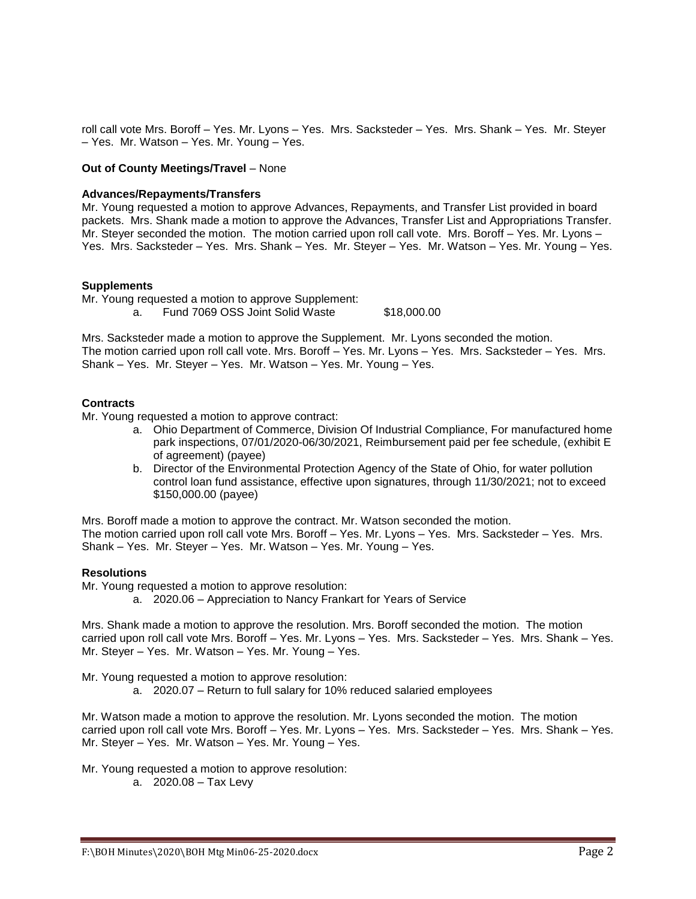roll call vote Mrs. Boroff – Yes. Mr. Lyons – Yes. Mrs. Sacksteder – Yes. Mrs. Shank – Yes. Mr. Steyer – Yes. Mr. Watson – Yes. Mr. Young – Yes.

#### **Out of County Meetings/Travel** – None

#### **Advances/Repayments/Transfers**

Mr. Young requested a motion to approve Advances, Repayments, and Transfer List provided in board packets. Mrs. Shank made a motion to approve the Advances, Transfer List and Appropriations Transfer. Mr. Steyer seconded the motion. The motion carried upon roll call vote. Mrs. Boroff – Yes. Mr. Lyons – Yes. Mrs. Sacksteder – Yes. Mrs. Shank – Yes. Mr. Steyer – Yes. Mr. Watson – Yes. Mr. Young – Yes.

#### **Supplements**

Mr. Young requested a motion to approve Supplement: a. Fund 7069 OSS Joint Solid Waste \$18,000.00

Mrs. Sacksteder made a motion to approve the Supplement. Mr. Lyons seconded the motion. The motion carried upon roll call vote. Mrs. Boroff – Yes. Mr. Lyons – Yes. Mrs. Sacksteder – Yes. Mrs. Shank – Yes. Mr. Steyer – Yes. Mr. Watson – Yes. Mr. Young – Yes.

#### **Contracts**

Mr. Young requested a motion to approve contract:

- a. Ohio Department of Commerce, Division Of Industrial Compliance, For manufactured home park inspections, 07/01/2020-06/30/2021, Reimbursement paid per fee schedule, (exhibit E of agreement) (payee)
- b. Director of the Environmental Protection Agency of the State of Ohio, for water pollution control loan fund assistance, effective upon signatures, through 11/30/2021; not to exceed \$150,000.00 (payee)

Mrs. Boroff made a motion to approve the contract. Mr. Watson seconded the motion. The motion carried upon roll call vote Mrs. Boroff – Yes. Mr. Lyons – Yes. Mrs. Sacksteder – Yes. Mrs. Shank – Yes. Mr. Steyer – Yes. Mr. Watson – Yes. Mr. Young – Yes.

#### **Resolutions**

Mr. Young requested a motion to approve resolution:

a. 2020.06 – Appreciation to Nancy Frankart for Years of Service

Mrs. Shank made a motion to approve the resolution. Mrs. Boroff seconded the motion. The motion carried upon roll call vote Mrs. Boroff – Yes. Mr. Lyons – Yes. Mrs. Sacksteder – Yes. Mrs. Shank – Yes. Mr. Steyer – Yes. Mr. Watson – Yes. Mr. Young – Yes.

Mr. Young requested a motion to approve resolution:

a. 2020.07 – Return to full salary for 10% reduced salaried employees

Mr. Watson made a motion to approve the resolution. Mr. Lyons seconded the motion. The motion carried upon roll call vote Mrs. Boroff – Yes. Mr. Lyons – Yes. Mrs. Sacksteder – Yes. Mrs. Shank – Yes. Mr. Steyer – Yes. Mr. Watson – Yes. Mr. Young – Yes.

Mr. Young requested a motion to approve resolution:

a. 2020.08 – Tax Levy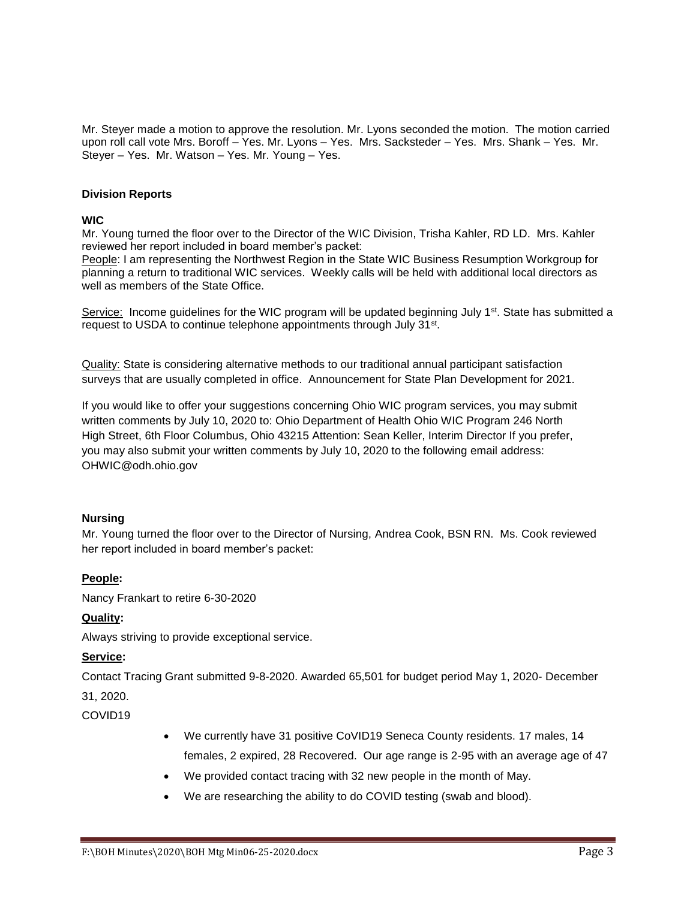Mr. Steyer made a motion to approve the resolution. Mr. Lyons seconded the motion. The motion carried upon roll call vote Mrs. Boroff – Yes. Mr. Lyons – Yes. Mrs. Sacksteder – Yes. Mrs. Shank – Yes. Mr. Steyer – Yes. Mr. Watson – Yes. Mr. Young – Yes.

## **Division Reports**

## **WIC**

Mr. Young turned the floor over to the Director of the WIC Division, Trisha Kahler, RD LD. Mrs. Kahler reviewed her report included in board member's packet:

People: I am representing the Northwest Region in the State WIC Business Resumption Workgroup for planning a return to traditional WIC services. Weekly calls will be held with additional local directors as well as members of the State Office.

Service: Income guidelines for the WIC program will be updated beginning July 1<sup>st</sup>. State has submitted a request to USDA to continue telephone appointments through July 31<sup>st</sup>.

Quality: State is considering alternative methods to our traditional annual participant satisfaction surveys that are usually completed in office. Announcement for State Plan Development for 2021.

If you would like to offer your suggestions concerning Ohio WIC program services, you may submit written comments by July 10, 2020 to: Ohio Department of Health Ohio WIC Program 246 North High Street, 6th Floor Columbus, Ohio 43215 Attention: Sean Keller, Interim Director If you prefer, you may also submit your written comments by July 10, 2020 to the following email address: OHWIC@odh.ohio.gov

## **Nursing**

Mr. Young turned the floor over to the Director of Nursing, Andrea Cook, BSN RN. Ms. Cook reviewed her report included in board member's packet:

# **People:**

Nancy Frankart to retire 6-30-2020

## **Quality:**

Always striving to provide exceptional service.

## **Service:**

Contact Tracing Grant submitted 9-8-2020. Awarded 65,501 for budget period May 1, 2020- December

31, 2020.

COVID19

- We currently have 31 positive CoVID19 Seneca County residents. 17 males, 14 females, 2 expired, 28 Recovered. Our age range is 2-95 with an average age of 47
- We provided contact tracing with 32 new people in the month of May.
- We are researching the ability to do COVID testing (swab and blood).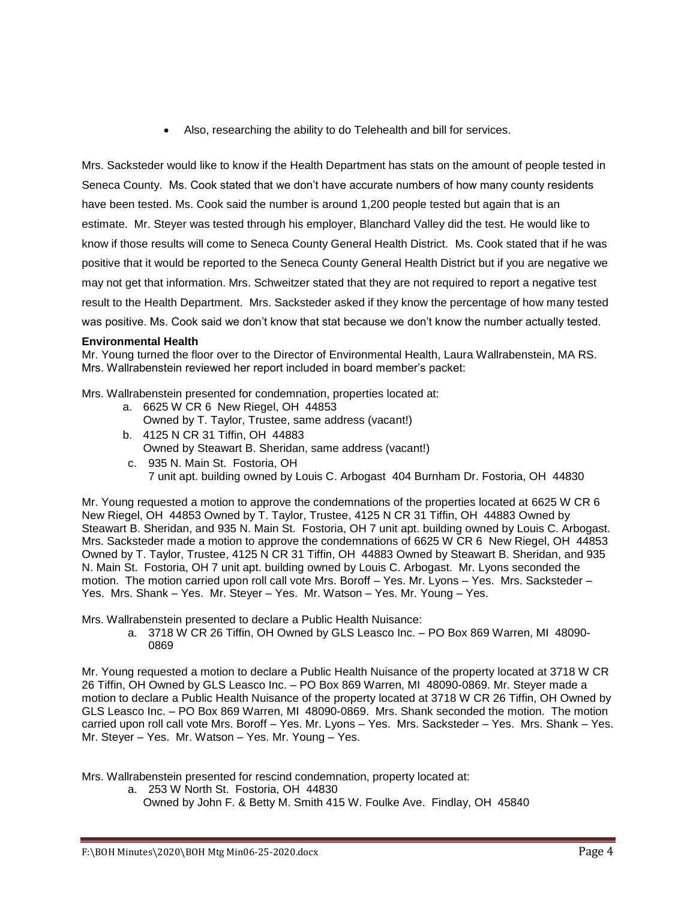Also, researching the ability to do Telehealth and bill for services.

Mrs. Sacksteder would like to know if the Health Department has stats on the amount of people tested in Seneca County. Ms. Cook stated that we don't have accurate numbers of how many county residents have been tested. Ms. Cook said the number is around 1,200 people tested but again that is an estimate. Mr. Steyer was tested through his employer, Blanchard Valley did the test. He would like to know if those results will come to Seneca County General Health District. Ms. Cook stated that if he was positive that it would be reported to the Seneca County General Health District but if you are negative we may not get that information. Mrs. Schweitzer stated that they are not required to report a negative test result to the Health Department. Mrs. Sacksteder asked if they know the percentage of how many tested was positive. Ms. Cook said we don't know that stat because we don't know the number actually tested.

# **Environmental Health**

Mr. Young turned the floor over to the Director of Environmental Health, Laura Wallrabenstein, MA RS. Mrs. Wallrabenstein reviewed her report included in board member's packet:

Mrs. Wallrabenstein presented for condemnation, properties located at:

- a. 6625 W CR 6 New Riegel, OH 44853 Owned by T. Taylor, Trustee, same address (vacant!)
- b. 4125 N CR 31 Tiffin, OH 44883 Owned by Steawart B. Sheridan, same address (vacant!)
- c. 935 N. Main St. Fostoria, OH 7 unit apt. building owned by Louis C. Arbogast 404 Burnham Dr. Fostoria, OH 44830

Mr. Young requested a motion to approve the condemnations of the properties located at 6625 W CR 6 New Riegel, OH 44853 Owned by T. Taylor, Trustee, 4125 N CR 31 Tiffin, OH 44883 Owned by Steawart B. Sheridan, and 935 N. Main St. Fostoria, OH 7 unit apt. building owned by Louis C. Arbogast. Mrs. Sacksteder made a motion to approve the condemnations of 6625 W CR 6 New Riegel, OH 44853 Owned by T. Taylor, Trustee, 4125 N CR 31 Tiffin, OH 44883 Owned by Steawart B. Sheridan, and 935 N. Main St. Fostoria, OH 7 unit apt. building owned by Louis C. Arbogast. Mr. Lyons seconded the motion. The motion carried upon roll call vote Mrs. Boroff – Yes. Mr. Lyons – Yes. Mrs. Sacksteder – Yes. Mrs. Shank – Yes. Mr. Steyer – Yes. Mr. Watson – Yes. Mr. Young – Yes.

Mrs. Wallrabenstein presented to declare a Public Health Nuisance:

a. 3718 W CR 26 Tiffin, OH Owned by GLS Leasco Inc. – PO Box 869 Warren, MI 48090- 0869

Mr. Young requested a motion to declare a Public Health Nuisance of the property located at 3718 W CR 26 Tiffin, OH Owned by GLS Leasco Inc. – PO Box 869 Warren, MI 48090-0869. Mr. Steyer made a motion to declare a Public Health Nuisance of the property located at 3718 W CR 26 Tiffin, OH Owned by GLS Leasco Inc. – PO Box 869 Warren, MI 48090-0869. Mrs. Shank seconded the motion. The motion carried upon roll call vote Mrs. Boroff – Yes. Mr. Lyons – Yes. Mrs. Sacksteder – Yes. Mrs. Shank – Yes. Mr. Steyer – Yes. Mr. Watson – Yes. Mr. Young – Yes.

Mrs. Wallrabenstein presented for rescind condemnation, property located at:

a. 253 W North St. Fostoria, OH 44830 Owned by John F. & Betty M. Smith 415 W. Foulke Ave. Findlay, OH 45840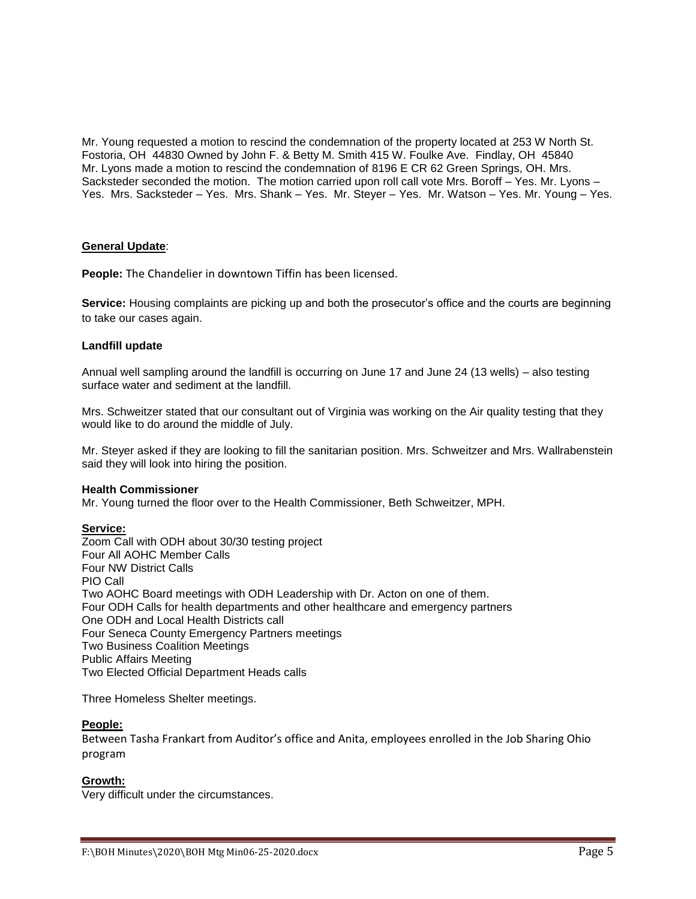Mr. Young requested a motion to rescind the condemnation of the property located at 253 W North St. Fostoria, OH 44830 Owned by John F. & Betty M. Smith 415 W. Foulke Ave. Findlay, OH 45840 Mr. Lyons made a motion to rescind the condemnation of 8196 E CR 62 Green Springs, OH. Mrs. Sacksteder seconded the motion. The motion carried upon roll call vote Mrs. Boroff – Yes. Mr. Lyons – Yes. Mrs. Sacksteder – Yes. Mrs. Shank – Yes. Mr. Steyer – Yes. Mr. Watson – Yes. Mr. Young – Yes.

## **General Update**:

**People:** The Chandelier in downtown Tiffin has been licensed.

**Service:** Housing complaints are picking up and both the prosecutor's office and the courts are beginning to take our cases again.

## **Landfill update**

Annual well sampling around the landfill is occurring on June 17 and June 24 (13 wells) – also testing surface water and sediment at the landfill.

Mrs. Schweitzer stated that our consultant out of Virginia was working on the Air quality testing that they would like to do around the middle of July.

Mr. Steyer asked if they are looking to fill the sanitarian position. Mrs. Schweitzer and Mrs. Wallrabenstein said they will look into hiring the position.

#### **Health Commissioner**

Mr. Young turned the floor over to the Health Commissioner, Beth Schweitzer, MPH.

#### **Service:**

Zoom Call with ODH about 30/30 testing project Four All AOHC Member Calls Four NW District Calls PIO Call Two AOHC Board meetings with ODH Leadership with Dr. Acton on one of them. Four ODH Calls for health departments and other healthcare and emergency partners One ODH and Local Health Districts call Four Seneca County Emergency Partners meetings Two Business Coalition Meetings Public Affairs Meeting Two Elected Official Department Heads calls

Three Homeless Shelter meetings.

## **People:**

Between Tasha Frankart from Auditor's office and Anita, employees enrolled in the Job Sharing Ohio program

## **Growth:**

Very difficult under the circumstances.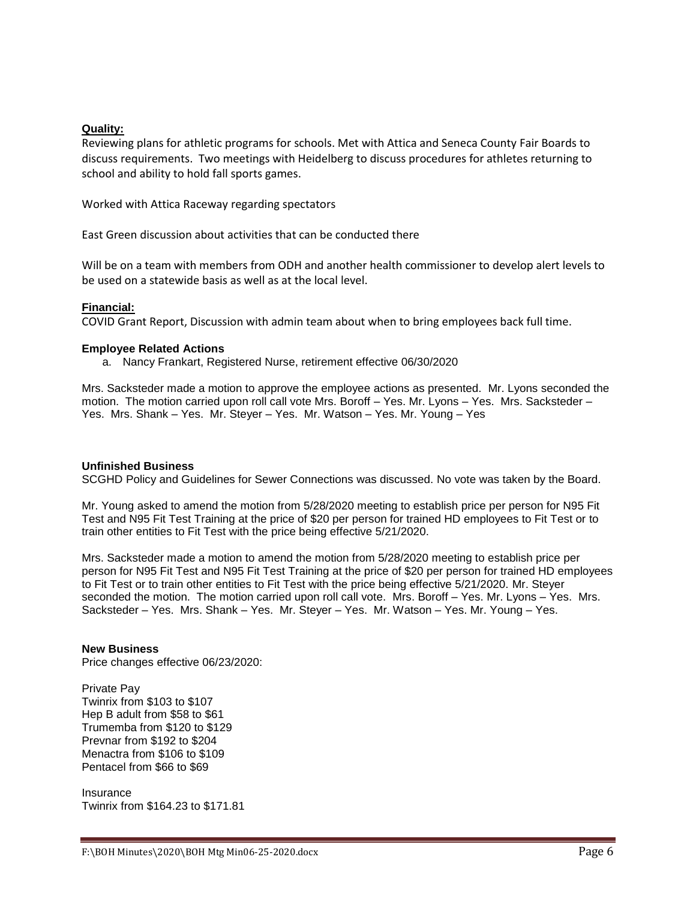# **Quality:**

Reviewing plans for athletic programs for schools. Met with Attica and Seneca County Fair Boards to discuss requirements. Two meetings with Heidelberg to discuss procedures for athletes returning to school and ability to hold fall sports games.

Worked with Attica Raceway regarding spectators

East Green discussion about activities that can be conducted there

Will be on a team with members from ODH and another health commissioner to develop alert levels to be used on a statewide basis as well as at the local level.

## **Financial:**

COVID Grant Report, Discussion with admin team about when to bring employees back full time.

## **Employee Related Actions**

a. Nancy Frankart, Registered Nurse, retirement effective 06/30/2020

Mrs. Sacksteder made a motion to approve the employee actions as presented. Mr. Lyons seconded the motion. The motion carried upon roll call vote Mrs. Boroff – Yes. Mr. Lyons – Yes. Mrs. Sacksteder – Yes. Mrs. Shank – Yes. Mr. Steyer – Yes. Mr. Watson – Yes. Mr. Young – Yes

## **Unfinished Business**

SCGHD Policy and Guidelines for Sewer Connections was discussed. No vote was taken by the Board.

Mr. Young asked to amend the motion from 5/28/2020 meeting to establish price per person for N95 Fit Test and N95 Fit Test Training at the price of \$20 per person for trained HD employees to Fit Test or to train other entities to Fit Test with the price being effective 5/21/2020.

Mrs. Sacksteder made a motion to amend the motion from 5/28/2020 meeting to establish price per person for N95 Fit Test and N95 Fit Test Training at the price of \$20 per person for trained HD employees to Fit Test or to train other entities to Fit Test with the price being effective 5/21/2020. Mr. Steyer seconded the motion. The motion carried upon roll call vote. Mrs. Boroff – Yes. Mr. Lyons – Yes. Mrs. Sacksteder – Yes. Mrs. Shank – Yes. Mr. Steyer – Yes. Mr. Watson – Yes. Mr. Young – Yes.

## **New Business**

Price changes effective 06/23/2020:

Private Pay Twinrix from \$103 to \$107 Hep B adult from \$58 to \$61 Trumemba from \$120 to \$129 Prevnar from \$192 to \$204 Menactra from \$106 to \$109 Pentacel from \$66 to \$69

Insurance Twinrix from \$164.23 to \$171.81